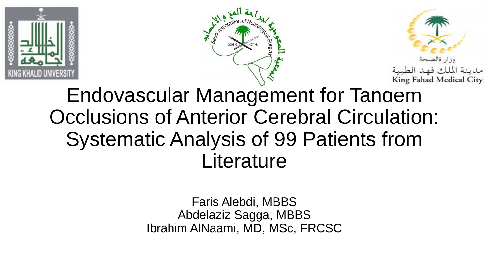





### Endovascular Management for Tandem Occlusions of Anterior Cerebral Circulation: Systematic Analysis of 99 Patients from **Literature**

Faris Alebdi, MBBS Abdelaziz Sagga, MBBS Ibrahim AlNaami, MD, MSc, FRCSC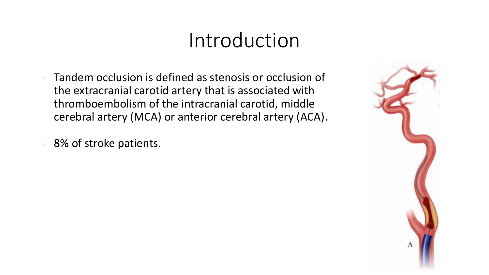- Tandem occlusion is defined as stenosis or occlusion of the extracranial carotid artery that is associated with thromboembolism of the intracranial carotid, middle cerebral artery (MCA) or anterior cerebral artery (ACA).
- 8% of stroke patients.

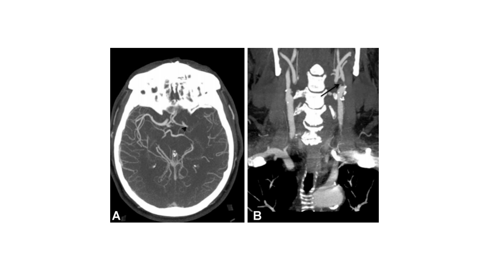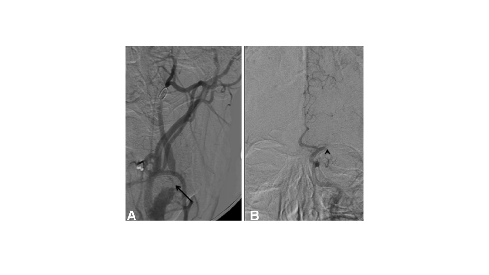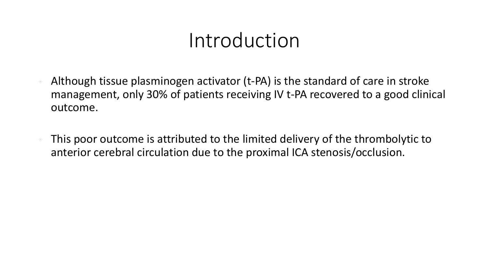- Although tissue plasminogen activator (t-PA) is the standard of care in stroke management, only 30% of patients receiving IV t-PA recovered to a good clinical outcome.
- This poor outcome is attributed to the limited delivery of the thrombolytic to anterior cerebral circulation due to the proximal ICA stenosis/occlusion.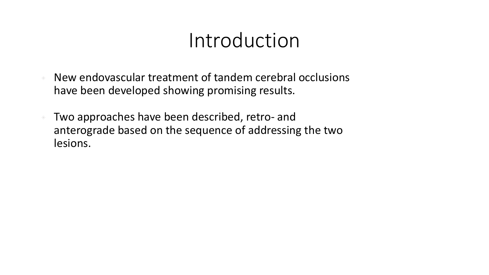- ◈ New endovascular treatment of tandem cerebral occlusions have been developed showing promising results.
- ◈ Two approaches have been described, retro- and anterograde based on the sequence of addressing the two lesions.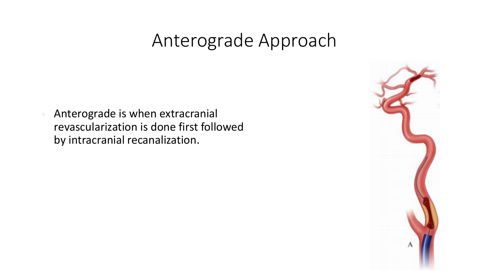#### Anterograde Approach

◈ Anterograde is when extracranial revascularization is done first followed by intracranial recanalization.

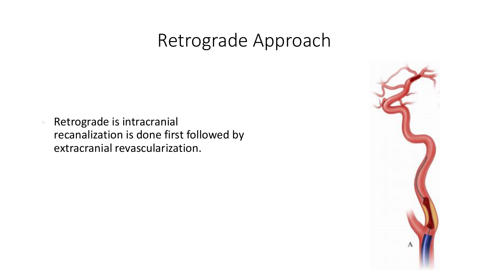#### Retrograde Approach

◈ Retrograde is intracranial recanalization is done first followed by extracranial revascularization.

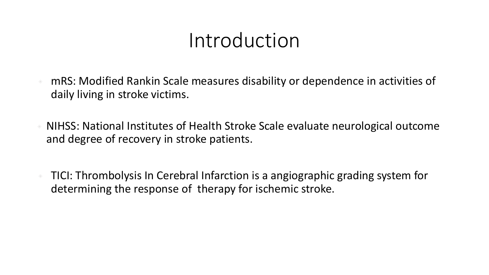- mRS: Modified Rankin Scale measures disability or dependence in activities of daily living in stroke victims.
- NIHSS: National Institutes of Health Stroke Scale evaluate neurological outcome and degree of recovery in stroke patients.
- TICI: Thrombolysis In Cerebral Infarction is a angiographic grading system for determining the response of therapy for ischemic stroke.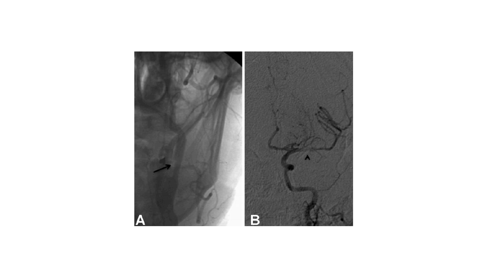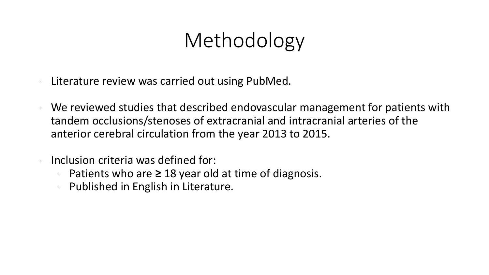# Methodology

- Literature review was carried out using PubMed.
- We reviewed studies that described endovascular management for patients with tandem occlusions/stenoses of extracranial and intracranial arteries of the anterior cerebral circulation from the year 2013 to 2015.
- Inclusion criteria was defined for:
	- Patients who are  $\geq$  18 year old at time of diagnosis.
	- Published in English in Literature.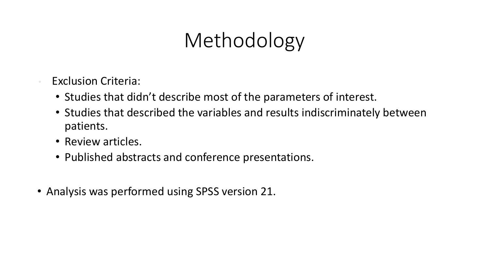# Methodology

- **Exclusion Criteria:** 
	- Studies that didn't describe most of the parameters of interest.
	- Studies that described the variables and results indiscriminately between patients.
	- Review articles.
	- Published abstracts and conference presentations.
- Analysis was performed using SPSS version 21.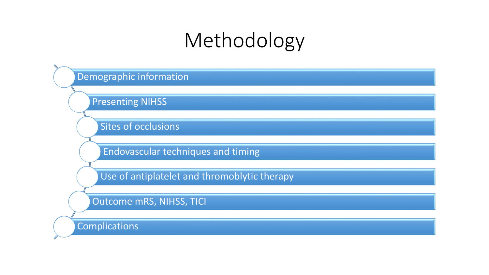## Methodology

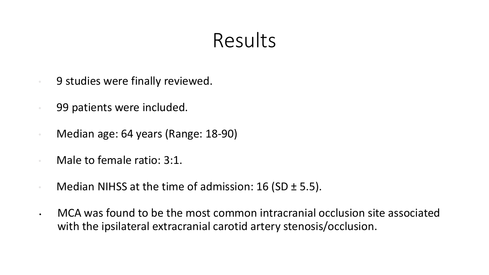### Results

- 9 studies were finally reviewed.
- 99 patients were included.
- Median age: 64 years (Range: 18-90)
- Male to female ratio: 3:1.
- Median NIHSS at the time of admission:  $16$  (SD  $\pm$  5.5).
- MCA was found to be the most common intracranial occlusion site associated with the ipsilateral extracranial carotid artery stenosis/occlusion.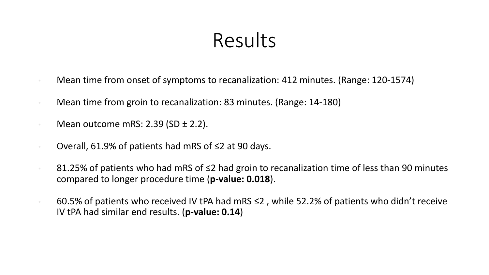### Results

- Mean time from onset of symptoms to recanalization: 412 minutes. (Range: 120-1574)
- Mean time from groin to recanalization: 83 minutes. (Range: 14-180)
- Mean outcome mRS:  $2.39$  (SD  $\pm$  2.2).
- Overall, 61.9% of patients had mRS of  $\leq$  2 at 90 days.
- 81.25% of patients who had mRS of ≤2 had groin to recanalization time of less than 90 minutes compared to longer procedure time (**p-value: 0.018**).
- 60.5% of patients who received IV tPA had mRS ≤2 , while 52.2% of patients who didn't receive IV tPA had similar end results. (**p-value: 0.14**)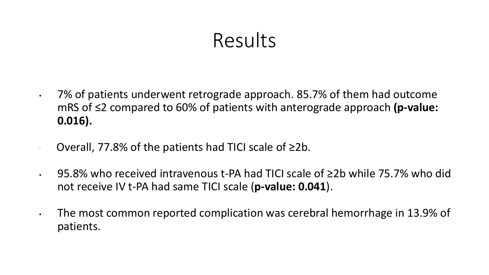### Results

- 7% of patients underwent retrograde approach. 85.7% of them had outcome mRS of ≤2 compared to 60% of patients with anterograde approach **(p-value: 0.016).**
- Overall, 77.8% of the patients had TICI scale of  $\geq 2b$ .
- 95.8% who received intravenous t-PA had TICI scale of ≥2b while 75.7% who did not receive IV t-PA had same TICI scale (**p-value: 0.041**).
- The most common reported complication was cerebral hemorrhage in 13.9% of patients.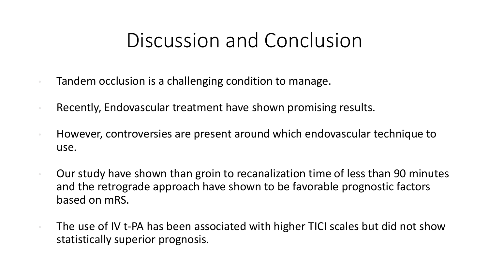### Discussion and Conclusion

- Tandem occlusion is a challenging condition to manage.
- Recently, Endovascular treatment have shown promising results.
- However, controversies are present around which endovascular technique to use.
- Our study have shown than groin to recanalization time of less than 90 minutes and the retrograde approach have shown to be favorable prognostic factors based on mRS.
- The use of IV t-PA has been associated with higher TICI scales but did not show statistically superior prognosis.